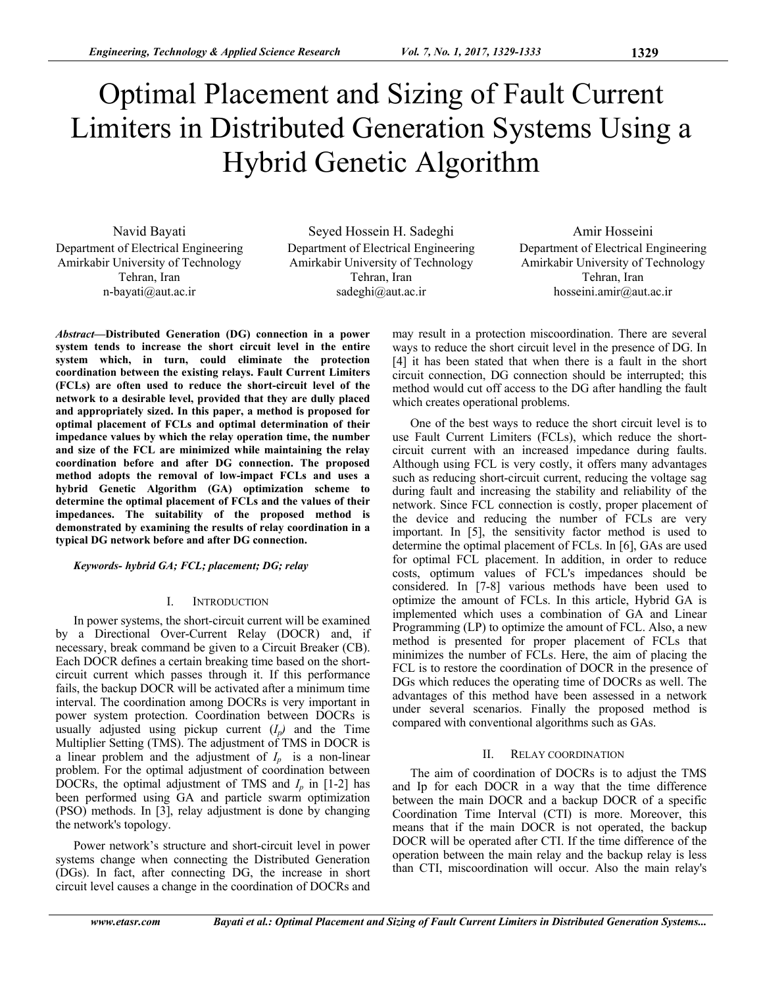# Optimal Placement and Sizing of Fault Current Limiters in Distributed Generation Systems Using a Hybrid Genetic Algorithm

Navid Bayati Department of Electrical Engineering Amirkabir University of Technology Tehran, Iran n-bayati@aut.ac.ir

Seyed Hossein H. Sadeghi Department of Electrical Engineering Amirkabir University of Technology Tehran, Iran sadeghi@aut.ac.ir

Amir Hosseini Department of Electrical Engineering Amirkabir University of Technology Tehran, Iran hosseini.amir@aut.ac.ir

*Abstract—***Distributed Generation (DG) connection in a power system tends to increase the short circuit level in the entire system which, in turn, could eliminate the protection coordination between the existing relays. Fault Current Limiters (FCLs) are often used to reduce the short-circuit level of the network to a desirable level, provided that they are dully placed and appropriately sized. In this paper, a method is proposed for optimal placement of FCLs and optimal determination of their impedance values by which the relay operation time, the number and size of the FCL are minimized while maintaining the relay coordination before and after DG connection. The proposed method adopts the removal of low-impact FCLs and uses a hybrid Genetic Algorithm (GA) optimization scheme to determine the optimal placement of FCLs and the values of their impedances. The suitability of the proposed method is demonstrated by examining the results of relay coordination in a typical DG network before and after DG connection.** 

## *Keywords- hybrid GA; FCL; placement; DG; relay*

## I. INTRODUCTION

In power systems, the short-circuit current will be examined by a Directional Over-Current Relay (DOCR) and, if necessary, break command be given to a Circuit Breaker (CB). Each DOCR defines a certain breaking time based on the shortcircuit current which passes through it. If this performance fails, the backup DOCR will be activated after a minimum time interval. The coordination among DOCRs is very important in power system protection. Coordination between DOCRs is usually adjusted using pickup current  $(I_p)$  and the Time Multiplier Setting (TMS). The adjustment of TMS in DOCR is a linear problem and the adjustment of  $I_p$  is a non-linear problem. For the optimal adjustment of coordination between DOCRs, the optimal adjustment of TMS and  $I_p$  in  $[1-2]$  has been performed using GA and particle swarm optimization (PSO) methods. In [3], relay adjustment is done by changing the network's topology.

Power network's structure and short-circuit level in power systems change when connecting the Distributed Generation (DGs). In fact, after connecting DG, the increase in short circuit level causes a change in the coordination of DOCRs and may result in a protection miscoordination. There are several ways to reduce the short circuit level in the presence of DG. In [4] it has been stated that when there is a fault in the short circuit connection, DG connection should be interrupted; this method would cut off access to the DG after handling the fault which creates operational problems.

One of the best ways to reduce the short circuit level is to use Fault Current Limiters (FCLs), which reduce the shortcircuit current with an increased impedance during faults. Although using FCL is very costly, it offers many advantages such as reducing short-circuit current, reducing the voltage sag during fault and increasing the stability and reliability of the network. Since FCL connection is costly, proper placement of the device and reducing the number of FCLs are very important. In [5], the sensitivity factor method is used to determine the optimal placement of FCLs. In [6], GAs are used for optimal FCL placement. In addition, in order to reduce costs, optimum values of FCL's impedances should be considered. In [7-8] various methods have been used to optimize the amount of FCLs. In this article, Hybrid GA is implemented which uses a combination of GA and Linear Programming (LP) to optimize the amount of FCL. Also, a new method is presented for proper placement of FCLs that minimizes the number of FCLs. Here, the aim of placing the FCL is to restore the coordination of DOCR in the presence of DGs which reduces the operating time of DOCRs as well. The advantages of this method have been assessed in a network under several scenarios. Finally the proposed method is compared with conventional algorithms such as GAs.

# II. RELAY COORDINATION

The aim of coordination of DOCRs is to adjust the TMS and Ip for each DOCR in a way that the time difference between the main DOCR and a backup DOCR of a specific Coordination Time Interval (CTI) is more. Moreover, this means that if the main DOCR is not operated, the backup DOCR will be operated after CTI. If the time difference of the operation between the main relay and the backup relay is less than CTI, miscoordination will occur. Also the main relay's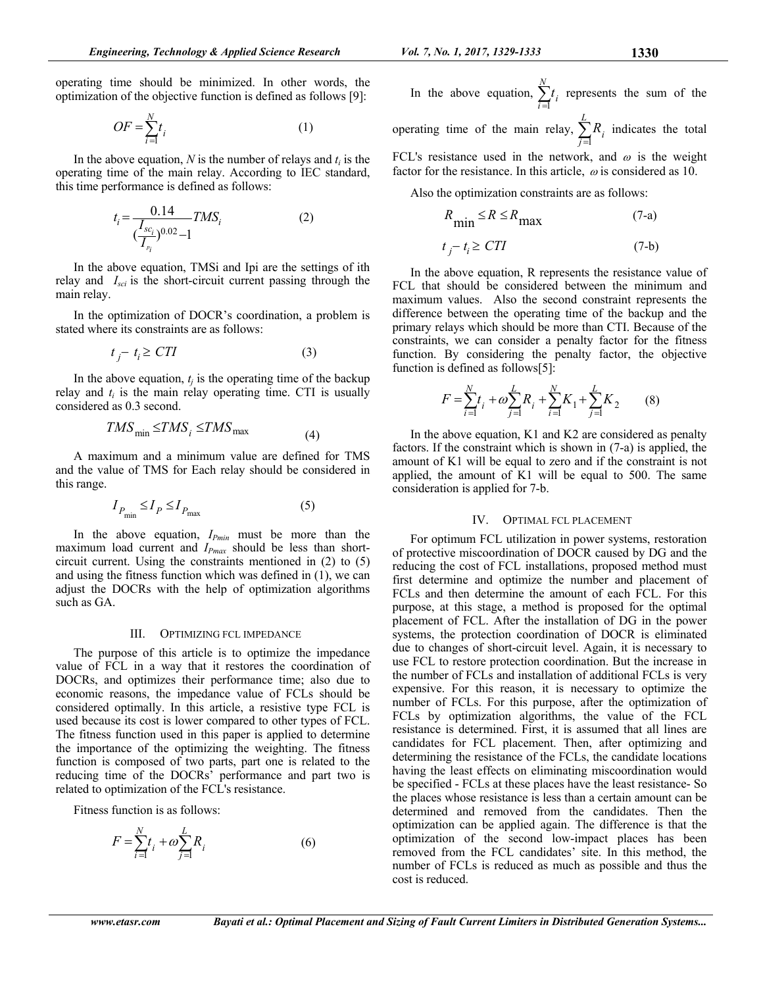$$
OF = \sum_{i=1}^{N} t_i
$$
 (1)

In the above equation,  $N$  is the number of relays and  $t_i$  is the operating time of the main relay. According to IEC standard, this time performance is defined as follows:

$$
t_i = \frac{0.14}{\left(\frac{I_{sc_i}}{I_{p_i}}\right)^{0.02} - 1} TMS_i
$$
 (2)

In the above equation, TMSi and Ipi are the settings of ith relay and *Isci* is the short-circuit current passing through the main relay.

In the optimization of DOCR's coordination, a problem is stated where its constraints are as follows:

$$
t_j - t_i \ge CTI \tag{3}
$$

In the above equation,  $t_j$  is the operating time of the backup relay and  $t_i$  is the main relay operating time. CTI is usually considered as 0.3 second.

$$
TMS_{\min} \leq TMS_i \leq TMS_{\max} \tag{4}
$$

A maximum and a minimum value are defined for TMS and the value of TMS for Each relay should be considered in this range.

$$
I_{P_{\min}} \le I_P \le I_{P_{\max}} \tag{5}
$$

In the above equation, *IPmin* must be more than the maximum load current and *I<sub>Pmax</sub>* should be less than shortcircuit current. Using the constraints mentioned in (2) to (5) and using the fitness function which was defined in (1), we can adjust the DOCRs with the help of optimization algorithms such as GA.

#### III. OPTIMIZING FCL IMPEDANCE

The purpose of this article is to optimize the impedance value of FCL in a way that it restores the coordination of DOCRs, and optimizes their performance time; also due to economic reasons, the impedance value of FCLs should be considered optimally. In this article, a resistive type FCL is used because its cost is lower compared to other types of FCL. The fitness function used in this paper is applied to determine the importance of the optimizing the weighting. The fitness function is composed of two parts, part one is related to the reducing time of the DOCRs' performance and part two is related to optimization of the FCL's resistance.

Fitness function is as follows:

$$
F = \sum_{i=1}^{N} t_i + \omega \sum_{j=1}^{L} R_i
$$
 (6)

In the above equation, 
$$
\sum_{i=1}^{n} t_i
$$
 represents the sum of the operating time of the main relay,  $\sum_{i=1}^{L} R_i$  indicates the total

*N*

1 *j* FCL's resistance used in the network, and  $\omega$  is the weight factor for the resistance. In this article,  $\omega$  is considered as 10.

Also the optimization constraints are as follows:

$$
R_{\min} \le R \le R_{\max}
$$
\n
$$
t_j - t_i \ge CTI
$$
\n(7-a)\n(7-b)

In the above equation, R represents the resistance value of FCL that should be considered between the minimum and maximum values. Also the second constraint represents the difference between the operating time of the backup and the primary relays which should be more than CTI. Because of the constraints, we can consider a penalty factor for the fitness function. By considering the penalty factor, the objective function is defined as follows[5]:

$$
F = \sum_{i=1}^{N} t_i + \omega \sum_{j=1}^{L} R_j + \sum_{i=1}^{N} K_1 + \sum_{j=1}^{L} K_2
$$
 (8)

In the above equation, K1 and K2 are considered as penalty factors. If the constraint which is shown in (7-a) is applied, the amount of K1 will be equal to zero and if the constraint is not applied, the amount of K1 will be equal to 500. The same consideration is applied for 7-b.

# IV. OPTIMAL FCL PLACEMENT

For optimum FCL utilization in power systems, restoration of protective miscoordination of DOCR caused by DG and the reducing the cost of FCL installations, proposed method must first determine and optimize the number and placement of FCLs and then determine the amount of each FCL. For this purpose, at this stage, a method is proposed for the optimal placement of FCL. After the installation of DG in the power systems, the protection coordination of DOCR is eliminated due to changes of short-circuit level. Again, it is necessary to use FCL to restore protection coordination. But the increase in the number of FCLs and installation of additional FCLs is very expensive. For this reason, it is necessary to optimize the number of FCLs. For this purpose, after the optimization of FCLs by optimization algorithms, the value of the FCL resistance is determined. First, it is assumed that all lines are candidates for FCL placement. Then, after optimizing and determining the resistance of the FCLs, the candidate locations having the least effects on eliminating miscoordination would be specified - FCLs at these places have the least resistance- So the places whose resistance is less than a certain amount can be determined and removed from the candidates. Then the optimization can be applied again. The difference is that the optimization of the second low-impact places has been removed from the FCL candidates' site. In this method, the number of FCLs is reduced as much as possible and thus the cost is reduced.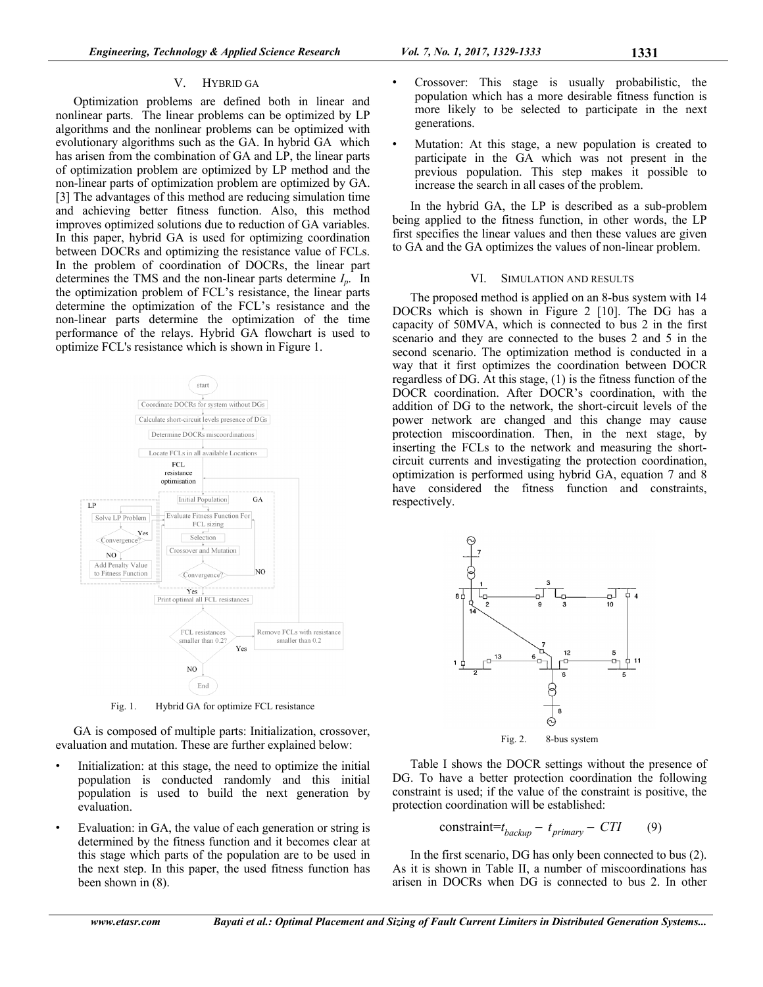# V. HYBRID GA

Optimization problems are defined both in linear and nonlinear parts. The linear problems can be optimized by LP algorithms and the nonlinear problems can be optimized with evolutionary algorithms such as the GA. In hybrid GA which has arisen from the combination of GA and LP, the linear parts of optimization problem are optimized by LP method and the non-linear parts of optimization problem are optimized by GA. [3] The advantages of this method are reducing simulation time and achieving better fitness function. Also, this method improves optimized solutions due to reduction of GA variables. In this paper, hybrid GA is used for optimizing coordination between DOCRs and optimizing the resistance value of FCLs. In the problem of coordination of DOCRs, the linear part determines the TMS and the non-linear parts determine *Ip*. In the optimization problem of FCL's resistance, the linear parts determine the optimization of the FCL's resistance and the non-linear parts determine the optimization of the time performance of the relays. Hybrid GA flowchart is used to optimize FCL's resistance which is shown in Figure 1.



Fig. 1. Hybrid GA for optimize FCL resistance

GA is composed of multiple parts: Initialization, crossover, evaluation and mutation. These are further explained below:

- Initialization: at this stage, the need to optimize the initial population is conducted randomly and this initial population is used to build the next generation by evaluation.
- Evaluation: in GA, the value of each generation or string is determined by the fitness function and it becomes clear at this stage which parts of the population are to be used in the next step. In this paper, the used fitness function has been shown in (8).
- Crossover: This stage is usually probabilistic, the population which has a more desirable fitness function is more likely to be selected to participate in the next generations.
- Mutation: At this stage, a new population is created to participate in the GA which was not present in the previous population. This step makes it possible to increase the search in all cases of the problem.

In the hybrid GA, the LP is described as a sub-problem being applied to the fitness function, in other words, the LP first specifies the linear values and then these values are given to GA and the GA optimizes the values of non-linear problem.

## VI. SIMULATION AND RESULTS

The proposed method is applied on an 8-bus system with 14 DOCRs which is shown in Figure 2 [10]. The DG has a capacity of 50MVA, which is connected to bus 2 in the first scenario and they are connected to the buses 2 and 5 in the second scenario. The optimization method is conducted in a way that it first optimizes the coordination between DOCR regardless of DG. At this stage, (1) is the fitness function of the DOCR coordination. After DOCR's coordination, with the addition of DG to the network, the short-circuit levels of the power network are changed and this change may cause protection miscoordination. Then, in the next stage, by inserting the FCLs to the network and measuring the shortcircuit currents and investigating the protection coordination, optimization is performed using hybrid GA, equation 7 and 8 have considered the fitness function and constraints, respectively.



Fig. 2. 8-bus system

Table I shows the DOCR settings without the presence of DG. To have a better protection coordination the following constraint is used; if the value of the constraint is positive, the protection coordination will be established:

$$
constraint=t_{\text{backward}} - t_{\text{primary}} - CTI \tag{9}
$$

In the first scenario, DG has only been connected to bus (2). As it is shown in Table II, a number of miscoordinations has arisen in DOCRs when DG is connected to bus 2. In other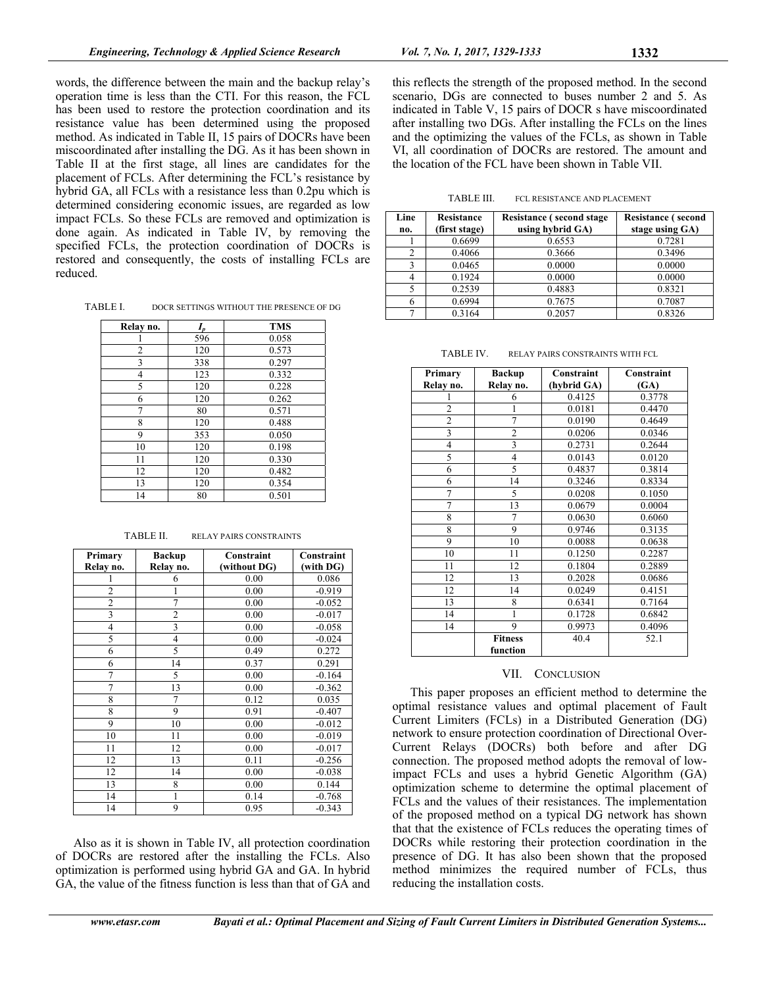words, the difference between the main and the backup relay's operation time is less than the CTI. For this reason, the FCL has been used to restore the protection coordination and its resistance value has been determined using the proposed method. As indicated in Table II, 15 pairs of DOCRs have been miscoordinated after installing the DG. As it has been shown in Table II at the first stage, all lines are candidates for the placement of FCLs. After determining the FCL's resistance by hybrid GA, all FCLs with a resistance less than 0.2pu which is determined considering economic issues, are regarded as low impact FCLs. So these FCLs are removed and optimization is done again. As indicated in Table IV, by removing the specified FCLs, the protection coordination of DOCRs is restored and consequently, the costs of installing FCLs are reduced.

TABLE I. DOCR SETTINGS WITHOUT THE PRESENCE OF DG

| Relay no.      | $I_{\scriptscriptstyle D}$ | <b>TMS</b> |
|----------------|----------------------------|------------|
|                | 596                        | 0.058      |
| $\overline{2}$ | 120                        | 0.573      |
| 3              | 338                        | 0.297      |
| $\overline{4}$ | 123                        | 0.332      |
| 5              | 120                        | 0.228      |
| 6              | 120                        | 0.262      |
| 7              | 80                         | 0.571      |
| 8              | 120                        | 0.488      |
| 9              | 353                        | 0.050      |
| 10             | 120                        | 0.198      |
| 11             | 120                        | 0.330      |
| 12             | 120                        | 0.482      |
| 13             | 120                        | 0.354      |
| 14             | 80                         | 0.501      |

| Primary                 | <b>Backup</b>  | Constraint   | Constraint |
|-------------------------|----------------|--------------|------------|
| Relay no.               | Relay no.      | (without DG) | (with DG)  |
|                         | 6              | 0.00         | 0.086      |
| $\overline{2}$          | 1              | 0.00         | $-0.919$   |
| $\overline{2}$          | 7              | 0.00         | $-0.052$   |
| $\overline{\mathbf{3}}$ | $\overline{2}$ | 0.00         | $-0.017$   |
| $\overline{4}$          | $\overline{3}$ | 0.00         | $-0.058$   |
| 5                       | $\overline{4}$ | 0.00         | $-0.024$   |
| 6                       | 5              | 0.49         | 0.272      |
| 6                       | 14             | 0.37         | 0.291      |
| 7                       | 5              | 0.00         | $-0.164$   |
| $\overline{7}$          | 13             | 0.00         | $-0.362$   |
| 8                       | $\overline{7}$ | 0.12         | 0.035      |
| 8                       | 9              | 0.91         | $-0.407$   |
| 9                       | 10             | 0.00         | $-0.012$   |
| 10                      | 11             | 0.00         | $-0.019$   |
| 11                      | 12             | 0.00         | $-0.017$   |
| 12                      | 13             | 0.11         | $-0.256$   |
| 12                      | 14             | 0.00         | $-0.038$   |
| 13                      | 8              | 0.00         | 0.144      |
| 14                      | 1              | 0.14         | $-0.768$   |
| 14                      | 9              | 0.95         | $-0.343$   |

Also as it is shown in Table IV, all protection coordination of DOCRs are restored after the installing the FCLs. Also optimization is performed using hybrid GA and GA. In hybrid GA, the value of the fitness function is less than that of GA and this reflects the strength of the proposed method. In the second scenario, DGs are connected to buses number 2 and 5. As indicated in Table V, 15 pairs of DOCR s have miscoordinated after installing two DGs. After installing the FCLs on the lines and the optimizing the values of the FCLs, as shown in Table VI, all coordination of DOCRs are restored. The amount and the location of the FCL have been shown in Table VII.

TABLE III. FCL RESISTANCE AND PLACEMENT

| Line<br>no. | <b>Resistance</b><br>(first stage) | <b>Resistance (second stage)</b><br>using hybrid GA) | <b>Resistance (second</b><br>stage using GA) |
|-------------|------------------------------------|------------------------------------------------------|----------------------------------------------|
|             | 0.6699                             | 0.6553                                               | 0.7281                                       |
|             | 0.4066                             | 0.3666                                               | 0.3496                                       |
|             | 0.0465                             | 0.0000                                               | 0.0000                                       |
|             | 0.1924                             | 0.0000                                               | 0.0000                                       |
|             | 0.2539                             | 0.4883                                               | 0.8321                                       |
|             | 0.6994                             | 0.7675                                               | 0.7087                                       |
|             | 0.3164                             | 0.2057                                               | 0.8326                                       |

TABLE IV. RELAY PAIRS CONSTRAINTS WITH FCL

| Primary        | <b>Backup</b>  | Constraint  | Constraint |
|----------------|----------------|-------------|------------|
| Relay no.      | Relay no.      | (hybrid GA) | (GA)       |
|                | 6              | 0.4125      | 0.3778     |
| $\overline{c}$ | 1              | 0.0181      | 0.4470     |
| $\overline{2}$ | $\overline{7}$ | 0.0190      | 0.4649     |
| 3              | $\overline{c}$ | 0.0206      | 0.0346     |
| $\overline{4}$ | $\overline{3}$ | 0.2731      | 0.2644     |
| 5              | 4              | 0.0143      | 0.0120     |
| 6              | 5              | 0.4837      | 0.3814     |
| 6              | 14             | 0.3246      | 0.8334     |
| $\overline{7}$ | 5              | 0.0208      | 0.1050     |
| $\overline{7}$ | 13             | 0.0679      | 0.0004     |
| 8              | 7              | 0.0630      | 0.6060     |
| 8              | 9              | 0.9746      | 0.3135     |
| 9              | 10             | 0.0088      | 0.0638     |
| 10             | 11             | 0.1250      | 0.2287     |
| 11             | 12             | 0.1804      | 0.2889     |
| 12             | 13             | 0.2028      | 0.0686     |
| 12             | 14             | 0.0249      | 0.4151     |
| 13             | 8              | 0.6341      | 0.7164     |
| 14             | 1              | 0.1728      | 0.6842     |
| 14             | 9              | 0.9973      | 0.4096     |
|                | <b>Fitness</b> | 40.4        | 52.1       |
|                | function       |             |            |

# VII. CONCLUSION

This paper proposes an efficient method to determine the optimal resistance values and optimal placement of Fault Current Limiters (FCLs) in a Distributed Generation (DG) network to ensure protection coordination of Directional Over-Current Relays (DOCRs) both before and after DG connection. The proposed method adopts the removal of lowimpact FCLs and uses a hybrid Genetic Algorithm (GA) optimization scheme to determine the optimal placement of FCLs and the values of their resistances. The implementation of the proposed method on a typical DG network has shown that that the existence of FCLs reduces the operating times of DOCRs while restoring their protection coordination in the presence of DG. It has also been shown that the proposed method minimizes the required number of FCLs, thus reducing the installation costs.